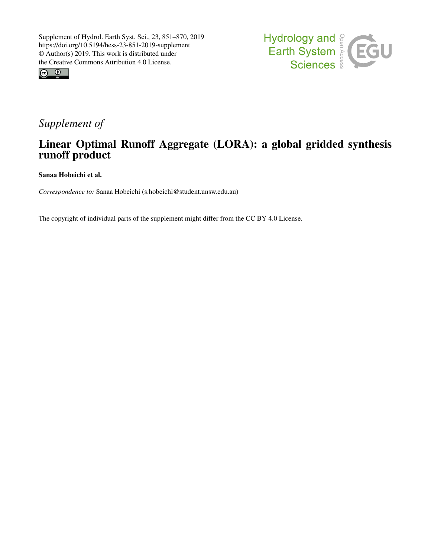



## *Supplement of*

## Linear Optimal Runoff Aggregate (LORA): a global gridded synthesis runoff product

Sanaa Hobeichi et al.

*Correspondence to:* Sanaa Hobeichi (s.hobeichi@student.unsw.edu.au)

The copyright of individual parts of the supplement might differ from the CC BY 4.0 License.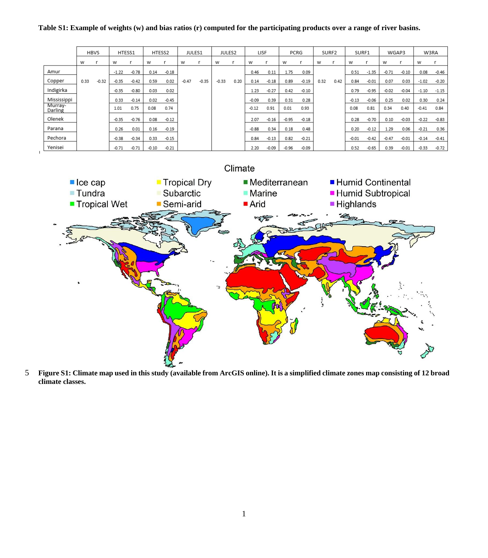## **Table S1: Example of weights (w) and bias ratios (r) computed for the participating products over a range of river basins.**

|                    | <b>HBVS</b> |         | HTESS1  |         | HTESS2  |         | JULES1  |         | JULES2  |      | LISF    |         | PCRG    |         | SURF2 |      | SURF1   |         | WGAP3   |         | W3RA    |         |
|--------------------|-------------|---------|---------|---------|---------|---------|---------|---------|---------|------|---------|---------|---------|---------|-------|------|---------|---------|---------|---------|---------|---------|
|                    | W           |         | w       |         | W       |         | w       |         | w       |      | w       |         | W       |         | w     |      | w       |         | W       |         | W       |         |
| Amur               |             |         | $-1.22$ | $-0.78$ | 0.14    | $-0.18$ |         |         |         |      | 0.46    | 0.11    | 1.75    | 0.09    |       |      | 0.51    | $-1.35$ | $-0.71$ | $-0.10$ | 0.08    | $-0.46$ |
| Copper             | 0.33        | $-0.32$ | $-0.35$ | $-0.42$ | 0.59    | 0.02    | $-0.47$ | $-0.35$ | $-0.33$ | 0.20 | 0.14    | $-0.18$ | 0.89    | $-0.19$ | 0.32  | 0.42 | 0.84    | $-0.01$ | 0.07    | 0.03    | $-1.02$ | $-0.20$ |
| Indigirka          |             |         | $-0.35$ | $-0.80$ | 0.03    | 0.02    |         |         |         |      | 1.23    | $-0.27$ | 0.42    | $-0.10$ |       |      | 0.79    | $-0.95$ | $-0.02$ | $-0.04$ | $-1.10$ | $-1.15$ |
| Mississippi        |             |         | 0.33    | $-0.14$ | 0.02    | $-0.45$ |         |         |         |      | $-0.09$ | 0.39    | 0.31    | 0.28    |       |      | $-0.13$ | $-0.06$ | 0.25    | 0.02    | 0.30    | 0.24    |
| Murray-<br>Darling |             |         | 1.01    | 0.75    | 0.08    | 0.74    |         |         |         |      | $-0.12$ | 0.91    | 0.01    | 0.93    |       |      | 0.08    | 0.81    | 0.34    | 0.40    | $-0.41$ | 0.84    |
| Olenek             |             |         | $-0.35$ | $-0.76$ | 0.08    | $-0.12$ |         |         |         |      | 2.07    | $-0.16$ | $-0.95$ | $-0.18$ |       |      | 0.28    | $-0.70$ | 0.10    | $-0.03$ | $-0.22$ | $-0.83$ |
| Parana             |             |         | 0.26    | 0.01    | 0.16    | $-0.19$ |         |         |         |      | $-0.88$ | 0.34    | 0.18    | 0.48    |       |      | 0.20    | $-0.12$ | 1.29    | 0.06    | $-0.21$ | 0.36    |
| Pechora            |             |         | $-0.38$ | $-0.34$ | 0.33    | $-0.15$ |         |         |         |      | 0.84    | $-0.13$ | 0.82    | $-0.21$ |       |      | $-0.01$ | $-0.42$ | $-0.47$ | $-0.01$ | $-0.14$ | $-0.41$ |
| Yenisei            |             |         | $-0.71$ | $-0.71$ | $-0.10$ | $-0.21$ |         |         |         |      | 2.20    | $-0.09$ | $-0.96$ | $-0.09$ |       |      | 0.52    | $-0.65$ | 0.39    | $-0.01$ | $-0.33$ | $-0.72$ |



5 **Figure S1: Climate map used in this study (available from ArcGIS online). It is a simplified climate zones map consisting of 12 broad climate classes.**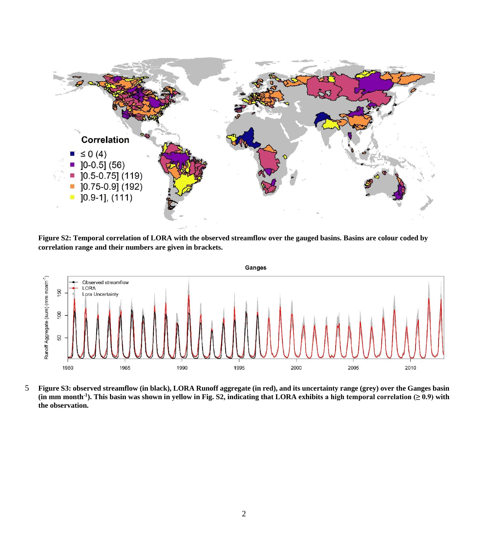

**Figure S2: Temporal correlation of LORA with the observed streamflow over the gauged basins. Basins are colour coded by correlation range and their numbers are given in brackets.**



5 **Figure S3: observed streamflow (in black), LORA Runoff aggregate (in red), and its uncertainty range (grey) over the Ganges basin**  (in mm month<sup>-1</sup>). This basin was shown in yellow in Fig. S2, indicating that LORA exhibits a high temporal correlation ( $\geq 0.9$ ) with **the observation.**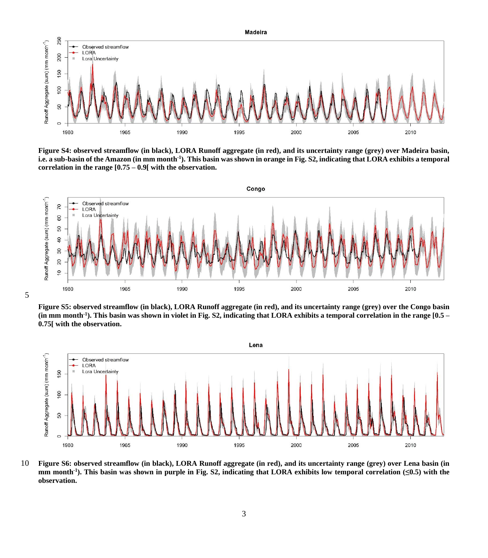

**Figure S4: observed streamflow (in black), LORA Runoff aggregate (in red), and its uncertainty range (grey) over Madeira basin, i.e. a sub-basin of the Amazon (in mm month-1 ). This basin was shown in orange in Fig. S2, indicating that LORA exhibits a temporal correlation in the range [0.75 – 0.9[ with the observation.**



5

**Figure S5: observed streamflow (in black), LORA Runoff aggregate (in red), and its uncertainty range (grey) over the Congo basin (in mm month-1 ). This basin was shown in violet in Fig. S2, indicating that LORA exhibits a temporal correlation in the range [0.5 – 0.75[ with the observation.**



10 **Figure S6: observed streamflow (in black), LORA Runoff aggregate (in red), and its uncertainty range (grey) over Lena basin (in mm month-1 ). This basin was shown in purple in Fig. S2, indicating that LORA exhibits low temporal correlation (≤0.5) with the observation.**

3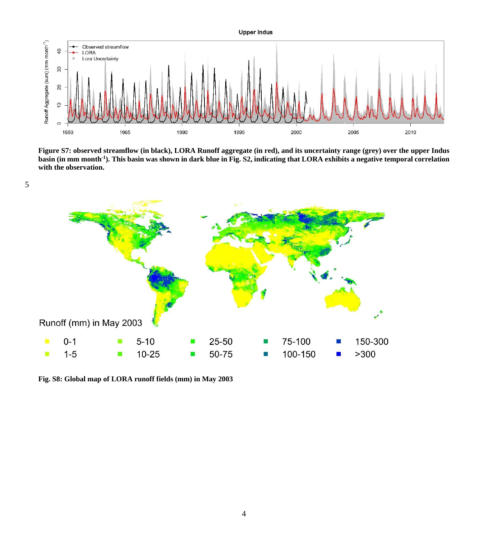

**Figure S7: observed streamflow (in black), LORA Runoff aggregate (in red), and its uncertainty range (grey) over the upper Indus basin (in mm month-1 ). This basin was shown in dark blue in Fig. S2, indicating that LORA exhibits a negative temporal correlation with the observation.** 



**Fig. S8: Global map of LORA runoff fields (mm) in May 2003**